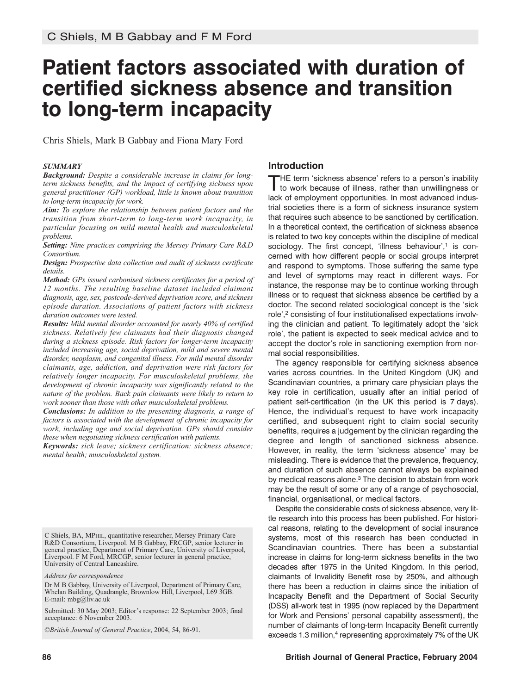# **Patient factors associated with duration of certified sickness absence and transition to long-term incapacity**

Chris Shiels, Mark B Gabbay and Fiona Mary Ford

#### *SUMMARY*

*Background: Despite a considerable increase in claims for longterm sickness benefits, and the impact of certifying sickness upon general practitioner (GP) workload, little is known about transition to long-term incapacity for work.*

*Aim: To explore the relationship between patient factors and the transition from short-term to long-term work incapacity, in particular focusing on mild mental health and musculoskeletal problems.*

*Setting: Nine practices comprising the Mersey Primary Care R&D Consortium.*

*Design: Prospective data collection and audit of sickness certificate details.*

*Method: GPs issued carbonised sickness certificates for a period of 12 months. The resulting baseline dataset included claimant diagnosis, age, sex, postcode-derived deprivation score, and sickness episode duration. Associations of patient factors with sickness duration outcomes were tested.*

*Results: Mild mental disorder accounted for nearly 40% of certified sickness. Relatively few claimants had their diagnosis changed during a sickness episode. Risk factors for longer-term incapacity included increasing age, social deprivation, mild and severe mental disorder, neoplasm, and congenital illness. For mild mental disorder claimants, age, addiction, and deprivation were risk factors for relatively longer incapacity. For musculoskeletal problems, the development of chronic incapacity was significantly related to the nature of the problem. Back pain claimants were likely to return to work sooner than those with other musculoskeletal problems.*

*Conclusions: In addition to the presenting diagnosis, a range of factors is associated with the development of chronic incapacity for work, including age and social deprivation. GPs should consider these when negotiating sickness certification with patients.*

*Keywords: sick leave; sickness certification; sickness absence; mental health; musculoskeletal system.*

C Shiels, BA, MPHIL, quantitative researcher, Mersey Primary Care R&D Consortium, Liverpool. M B Gabbay, FRCGP, senior lecturer in general practice, Department of Primary Care, University of Liverpool, Liverpool. F M Ford, MRCGP, senior lecturer in general practice, University of Central Lancashire.

*Address for correspondence*

Dr M B Gabbay, University of Liverpool, Department of Primary Care, Whelan Building, Quadrangle, Brownlow Hill, Liverpool, L69 3GB. E-mail: mbg@liv.ac.uk

Submitted: 30 May 2003; Editor's response: 22 September 2003; final acceptance: 6 November 2003.

*©British Journal of General Practice*, 2004, 54, 86-91.

# **Introduction**

THE term 'sickness absence' refers to <sup>a</sup> person's inability to work because of illness, rather than unwillingness or lack of employment opportunities. In most advanced industrial societies there is a form of sickness insurance system that requires such absence to be sanctioned by certification. In a theoretical context, the certification of sickness absence is related to two key concepts within the discipline of medical sociology. The first concept, 'illness behaviour', <sup>1</sup> is concerned with how different people or social groups interpret and respond to symptoms. Those suffering the same type and level of symptoms may react in different ways. For instance, the response may be to continue working through illness or to request that sickness absence be certified by a doctor. The second related sociological concept is the 'sick role', <sup>2</sup> consisting of four institutionalised expectations involving the clinician and patient. To legitimately adopt the 'sick role', the patient is expected to seek medical advice and to accept the doctor's role in sanctioning exemption from normal social responsibilities.

The agency responsible for certifying sickness absence varies across countries. In the United Kingdom (UK) and Scandinavian countries, a primary care physician plays the key role in certification, usually after an initial period of patient self-certification (in the UK this period is 7 days). Hence, the individual's request to have work incapacity certified, and subsequent right to claim social security benefits, requires a judgement by the clinician regarding the degree and length of sanctioned sickness absence. However, in reality, the term 'sickness absence' may be misleading. There is evidence that the prevalence, frequency, and duration of such absence cannot always be explained by medical reasons alone. <sup>3</sup> The decision to abstain from work may be the result of some or any of a range of psychosocial, financial, organisational, or medical factors.

Despite the considerable costs of sickness absence, very little research into this process has been published. For historical reasons, relating to the development of social insurance systems, most of this research has been conducted in Scandinavian countries. There has been a substantial increase in claims for long-term sickness benefits in the two decades after 1975 in the United Kingdom. In this period, claimants of Invalidity Benefit rose by 250%, and although there has been a reduction in claims since the initiation of Incapacity Benefit and the Department of Social Security (DSS) all-work test in 1995 (now replaced by the Department for Work and Pensions' personal capability assessment), the number of claimants of long-term Incapacity Benefit currently exceeds 1.3 million,<sup>4</sup> representing approximately 7% of the UK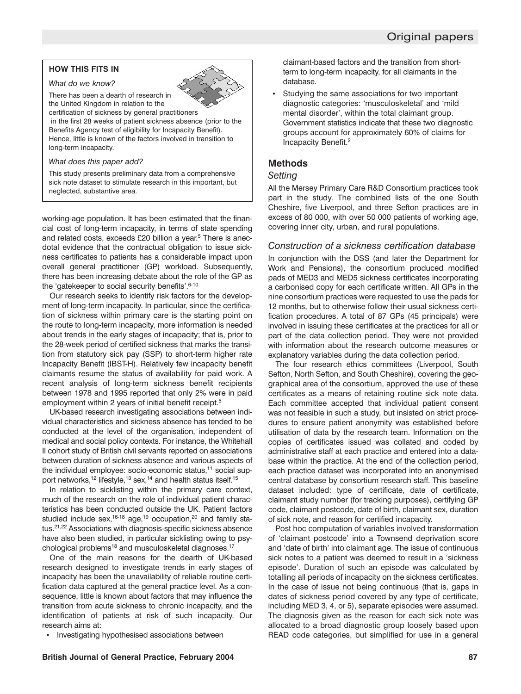# **HOW THIS FITS IN**

#### *What do we know?*



There has been a dearth of research in the United Kingdom in relation to the

certification of sickness by general practitioners in the first 28 weeks of patient sickness absence (prior to the Benefits Agency test of eligibility for Incapacity Benefit). Hence, little is known of the factors involved in transition to long-term incapacity.

*What does this paper add?*

This study presents preliminary data from a comprehensive sick note dataset to stimulate research in this important, but neglected, substantive area.

working-age population. It has been estimated that the financial cost of long-term incapacity, in terms of state spending and related costs, exceeds £20 billion a year. <sup>5</sup> There is anecdotal evidence that the contractual obligation to issue sickness certificates to patients has a considerable impact upon overall general practitioner (GP) workload. Subsequently, there has been increasing debate about the role of the GP as the 'gatekeeper to social security benefits'.<sup>6-10</sup>

Our research seeks to identify risk factors for the development of long-term incapacity. In particular, since the certification of sickness within primary care is the starting point on the route to long-term incapacity, more information is needed about trends in the early stages of incapacity; that is, prior to the 28-week period of certified sickness that marks the transition from statutory sick pay (SSP) to short-term higher rate Incapacity Benefit (IBST-H). Relatively few incapacity benefit claimants resume the status of availability for paid work. A recent analysis of long-term sickness benefit recipients between 1978 and 1995 reported that only 2% were in paid employment within 2 years of initial benefit receipt. 5

UK-based research investigating associations between individual characteristics and sickness absence has tended to be conducted at the level of the organisation, independent of medical and social policy contexts. For instance, the Whitehall II cohort study of British civil servants reported on associations between duration of sickness absence and various aspects of the individual employee: socio-economic status, <sup>11</sup> social support networks,<sup>12</sup> lifestyle,<sup>13</sup> sex,<sup>14</sup> and health status itself.<sup>15</sup>

In relation to sicklisting within the primary care context, much of the research on the role of individual patient characteristics has been conducted outside the UK. Patient factors studied include sex,<sup>16-18</sup> age,<sup>19</sup> occupation,<sup>20</sup> and family status.<sup>21,22</sup> Associations with diagnosis-specific sickness absence have also been studied, in particular sicklisting owing to psychological problems<sup>18</sup> and musculoskeletal diagnoses.<sup>17</sup>

One of the main reasons for the dearth of UK-based research designed to investigate trends in early stages of incapacity has been the unavailability of reliable routine certification data captured at the general practice level. As a consequence, little is known about factors that may influence the transition from acute sickness to chronic incapacity, and the identification of patients at risk of such incapacity. Our research aims at:

• Investigating hypothesised associations between

claimant-based factors and the transition from shortterm to long-term incapacity, for all claimants in the database.

Studying the same associations for two important diagnostic categories: 'musculoskeletal' and 'mild mental disorder', within the total claimant group. Government statistics indicate that these two diagnostic groups account for approximately 60% of claims for Incapacity Benefit. 2

### **Methods**

#### *Setting*

All the Mersey Primary Care R&D Consortium practices took part in the study. The combined lists of the one South Cheshire, five Liverpool, and three Sefton practices are in excess of 80 000, with over 50 000 patients of working age, covering inner city, urban, and rural populations.

# *Construction of a sickness certification database*

In conjunction with the DSS (and later the Department for Work and Pensions), the consortium produced modified pads of MED3 and MED5 sickness certificates incorporating a carbonised copy for each certificate written. All GPs in the nine consortium practices were requested to use the pads for 12 months, but to otherwise follow their usual sickness certification procedures. A total of 87 GPs (45 principals) were involved in issuing these certificates at the practices for all or part of the data collection period. They were not provided with information about the research outcome measures or explanatory variables during the data collection period.

The four research ethics committees (Liverpool, South Sefton, North Sefton, and South Cheshire), covering the geographical area of the consortium, approved the use of these certificates as a means of retaining routine sick note data. Each committee accepted that individual patient consent was not feasible in such a study, but insisted on strict procedures to ensure patient anonymity was established before utilisation of data by the research team. Information on the copies of certificates issued was collated and coded by administrative staff at each practice and entered into a database within the practice. At the end of the collection period, each practice dataset was incorporated into an anonymised central database by consortium research staff. This baseline dataset included: type of certificate, date of certificate, claimant study number (for tracking purposes), certifying GP code, claimant postcode, date of birth, claimant sex, duration of sick note, and reason for certified incapacity.

Post hoc computation of variables involved transformation of 'claimant postcode' into a Townsend deprivation score and 'date of birth' into claimant age. The issue of continuous sick notes to a patient was deemed to result in a 'sickness episode'. Duration of such an episode was calculated by totalling all periods of incapacity on the sickness certificates. In the case of issue not being continuous (that is, gaps in dates of sickness period covered by any type of certificate, including MED 3, 4, or 5), separate episodes were assumed. The diagnosis given as the reason for each sick note was allocated to a broad diagnostic group loosely based upon READ code categories, but simplified for use in a general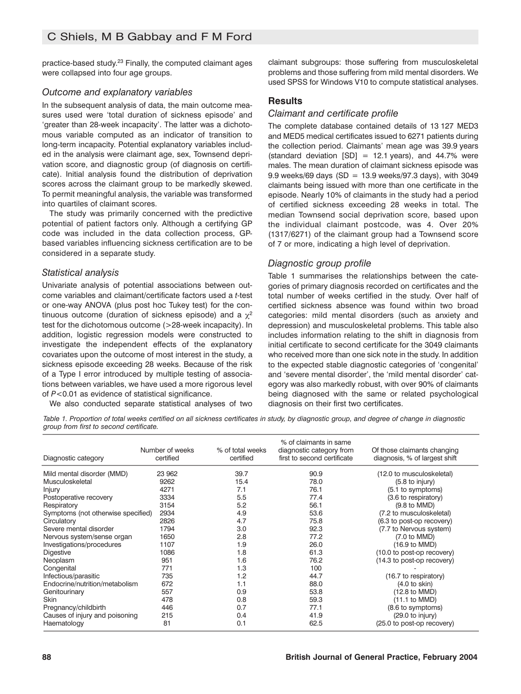practice-based study. <sup>23</sup> Finally, the computed claimant ages were collapsed into four age groups.

# *Outcome and explanatory variables*

In the subsequent analysis of data, the main outcome measures used were 'total duration of sickness episode' and 'greater than 28-week incapacity'. The latter was a dichotomous variable computed as an indicator of transition to long-term incapacity. Potential explanatory variables included in the analysis were claimant age, sex, Townsend deprivation score, and diagnostic group (of diagnosis on certificate). Initial analysis found the distribution of deprivation scores across the claimant group to be markedly skewed. To permit meaningful analysis, the variable was transformed into quartiles of claimant scores.

The study was primarily concerned with the predictive potential of patient factors only. Although a certifying GP code was included in the data collection process, GPbased variables influencing sickness certification are to be considered in a separate study.

### *Statistical analysis*

Univariate analysis of potential associations between outcome variables and claimant/certificate factors used a *t*-test or one-way ANOVA (plus post hoc Tukey test) for the continuous outcome (duration of sickness episode) and a  $\chi^2$ test for the dichotomous outcome (>28-week incapacity). In addition, logistic regression models were constructed to investigate the independent effects of the explanatory covariates upon the outcome of most interest in the study, a sickness episode exceeding 28 weeks. Because of the risk of a Type I error introduced by multiple testing of associations between variables, we have used a more rigorous level of *P*<0.01 as evidence of statistical significance.

We also conducted separate statistical analyses of two

claimant subgroups: those suffering from musculoskeletal problems and those suffering from mild mental disorders. We used SPSS for Windows V10 to compute statistical analyses.

# **Results**

### *Claimant and certificate profile*

The complete database contained details of 13 127 MED3 and MED5 medical certificates issued to 6271 patients during the collection period. Claimants' mean age was 39.9 years (standard deviation  $[SD] = 12.1$  years), and 44.7% were males. The mean duration of claimant sickness episode was 9.9 weeks/69 days (SD =  $13.9$  weeks/97.3 days), with 3049 claimants being issued with more than one certificate in the episode. Nearly 10% of claimants in the study had a period of certified sickness exceeding 28 weeks in total. The median Townsend social deprivation score, based upon the individual claimant postcode, was 4. Over 20% (1317/6271) of the claimant group had a Townsend score of 7 or more, indicating a high level of deprivation.

# *Diagnostic group profile*

Table 1 summarises the relationships between the categories of primary diagnosis recorded on certificates and the total number of weeks certified in the study. Over half of certified sickness absence was found within two broad categories: mild mental disorders (such as anxiety and depression) and musculoskeletal problems. This table also includes information relating to the shift in diagnosis from initial certificate to second certificate for the 3049 claimants who received more than one sick note in the study. In addition to the expected stable diagnostic categories of 'congenital' and 'severe mental disorder', the 'mild mental disorder' category was also markedly robust, with over 90% of claimants being diagnosed with the same or related psychological diagnosis on their first two certificates.

Table 1. Proportion of total weeks certified on all sickness certificates in study, by diagnostic group, and degree of change in diagnostic *group from first to second certificate.*

| Diagnostic category                | Number of weeks<br>certified | % of total weeks<br>certified | % of claimants in same<br>diagnostic category from<br>first to second certificate | Of those claimants changing<br>diagnosis, % of largest shift |
|------------------------------------|------------------------------|-------------------------------|-----------------------------------------------------------------------------------|--------------------------------------------------------------|
| Mild mental disorder (MMD)         | 23 962                       | 39.7                          | 90.9                                                                              | (12.0 to musculoskeletal)                                    |
| Musculoskeletal                    | 9262                         | 15.4                          | 78.0                                                                              | $(5.8 \text{ to injury})$                                    |
| Injury                             | 4271                         | 7.1                           | 76.1                                                                              | (5.1 to symptoms)                                            |
| Postoperative recovery             | 3334                         | 5.5                           | 77.4                                                                              | (3.6 to respiratory)                                         |
| Respiratory                        | 3154                         | 5.2                           | 56.1                                                                              | $(9.8 \text{ to MMD})$                                       |
| Symptoms (not otherwise specified) | 2934                         | 4.9                           | 53.6                                                                              | (7.2 to musculoskeletal)                                     |
| Circulatory                        | 2826                         | 4.7                           | 75.8                                                                              | (6.3 to post-op recovery)                                    |
| Severe mental disorder             | 1794                         | 3.0                           | 92.3                                                                              | (7.7 to Nervous system)                                      |
| Nervous system/sense organ         | 1650                         | 2.8                           | 77.2                                                                              | $(7.0 \text{ to MMD})$                                       |
| Investigations/procedures          | 1107                         | 1.9                           | 26.0                                                                              | (16.9 to MMD)                                                |
| <b>Digestive</b>                   | 1086                         | 1.8                           | 61.3                                                                              | (10.0 to post-op recovery)                                   |
| Neoplasm                           | 951                          | 1.6                           | 76.2                                                                              | (14.3 to post-op recovery)                                   |
| Congenital                         | 771                          | 1.3                           | 100                                                                               |                                                              |
| Infectious/parasitic               | 735                          | 1.2                           | 44.7                                                                              | (16.7 to respiratory)                                        |
| Endocrine/nutrition/metabolism     | 672                          | 1.1                           | 88.0                                                                              | (4.0 to skin)                                                |
| Genitourinary                      | 557                          | 0.9                           | 53.8                                                                              | (12.8 to MMD)                                                |
| <b>Skin</b>                        | 478                          | 0.8                           | 59.3                                                                              | (11.1 to MMD)                                                |
| Pregnancy/childbirth               | 446                          | 0.7                           | 77.1                                                                              | (8.6 to symptoms)                                            |
| Causes of injury and poisoning     | 215                          | 0.4                           | 41.9                                                                              | (29.0 to injury)                                             |
| Haematology                        | 81                           | 0.1                           | 62.5                                                                              | (25.0 to post-op recovery)                                   |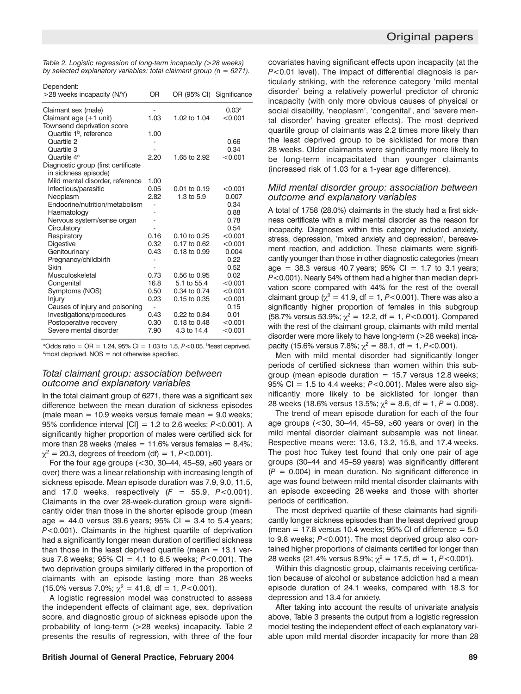| Original papers |  |
|-----------------|--|
|-----------------|--|

| Table 2. Logistic regression of long-term incapacity (>28 weeks)       |
|------------------------------------------------------------------------|
| by selected explanatory variables: total claimant group $(n = 6271)$ . |

| Dependent:                          |      |                          |                   |
|-------------------------------------|------|--------------------------|-------------------|
| >28 weeks incapacity (N/Y)          | OR   | OR (95% CI) Significance |                   |
| Claimant sex (male)                 |      |                          | 0.03 <sup>a</sup> |
| Claimant age (+1 unit)              | 1.03 | 1.02 to 1.04             | < 0.001           |
| Townsend deprivation score          |      |                          |                   |
| Quartile 1 <sup>b</sup> , reference | 1.00 |                          |                   |
| Quartile 2                          |      |                          | 0.66              |
| Quartile 3                          |      |                          | 0.34              |
| Quartile 4 <sup>c</sup>             | 2.20 | 1.65 to 2.92             | < 0.001           |
| Diagnostic group (first certificate |      |                          |                   |
| in sickness episode)                |      |                          |                   |
| Mild mental disorder, reference     | 1.00 |                          |                   |
| Infectious/parasitic                | 0.05 | $0.01$ to $0.19$         | < 0.001           |
| Neoplasm                            | 2.82 | 1.3 to $5.9$             | 0.007             |
| Endocrine/nutrition/metabolism      |      |                          | 0.34              |
| Haematology                         |      |                          | 0.88              |
| Nervous system/sense organ          |      |                          | 0.78              |
| Circulatory                         |      |                          | 0.54              |
| Respiratory                         | 0.16 | $0.10$ to $0.25$         | < 0.001           |
| Digestive                           | 0.32 | 0.17 to 0.62             | < 0.001           |
| Genitourinary                       | 0.43 | $0.18$ to $0.99$         | 0.004             |
| Pregnancy/childbirth                |      |                          | 0.22              |
| Skin                                |      |                          | 0.52              |
| Musculoskeletal                     | 0.73 | 0.56 to 0.95             | 0.02              |
| Congenital                          | 16.8 | 5.1 to 55.4              | < 0.001           |
| Symptoms (NOS)                      | 0.50 | 0.34 to 0.74             | < 0.001           |
| Injury                              | 0.23 | $0.15$ to $0.35$         | < 0.001           |
| Causes of injury and poisoning      |      |                          | 0.15              |
| Investigations/procedures           | 0.43 | 0.22 to 0.84             | 0.01              |
| Postoperative recovery              | 0.30 | $0.18$ to $0.48$         | < 0.001           |
| Severe mental disorder              | 7.90 | 4.3 to 14.4              | < 0.001           |

<sup>a</sup>Odds ratio = OR = 1.24, 95% CI = 1.03 to 1.5,  $P < 0.05$ . bleast deprived.  $\text{c}$  most deprived. NOS = not otherwise specified.

### *Total claimant group: association between outcome and explanatory variables*

In the total claimant group of 6271, there was a significant sex difference between the mean duration of sickness episodes (male mean  $= 10.9$  weeks versus female mean  $= 9.0$  weeks; 95% confidence interval [CI] = 1.2 to 2.6 weeks; *P*<0.001). A significantly higher proportion of males were certified sick for more than 28 weeks (males  $= 11.6\%$  versus females  $= 8.4\%$ ;  $\chi^2 = 20.3$ , degrees of freedom (df) = 1, *P*<0.001).

For the four age groups (<30, 30–44, 45–59,  $\geq$ 60 years or over) there was a linear relationship with increasing length of sickness episode. Mean episode duration was 7.9, 9.0, 11.5, and 17.0 weeks, respectively  $(F = 55.9, P < 0.001)$ . Claimants in the over 28-week-duration group were significantly older than those in the shorter episode group (mean age = 44.0 versus 39.6 years;  $95\%$  CI = 3.4 to 5.4 years; *P*<0.001). Claimants in the highest quartile of deprivation had a significantly longer mean duration of certified sickness than those in the least deprived quartile (mean  $= 13.1$  versus 7.8 weeks; 95% CI = 4.1 to 6.5 weeks; *P*<0.001). The two deprivation groups similarly differed in the proportion of claimants with an episode lasting more than 28 weeks (15.0% versus 7.0%;  $\chi^2 = 41.8$ , df = 1, *P*<0.001).

A logistic regression model was constructed to assess the independent effects of claimant age, sex, deprivation score, and diagnostic group of sickness episode upon the probability of long-term (>28 weeks) incapacity. Table 2 presents the results of regression, with three of the four

covariates having significant effects upon incapacity (at the *P*<0.01 level). The impact of differential diagnosis is particularly striking, with the reference category 'mild mental disorder' being a relatively powerful predictor of chronic incapacity (with only more obvious causes of physical or social disability, 'neoplasm', 'congenital', and 'severe mental disorder' having greater effects). The most deprived quartile group of claimants was 2.2 times more likely than the least deprived group to be sicklisted for more than 28 weeks. Older claimants were significantly more likely to be long-term incapacitated than younger claimants (increased risk of 1.03 for a 1-year age difference).

### *Mild mental disorder group: association between outcome and explanatory variables*

A total of 1758 (28.0%) claimants in the study had a first sickness certificate with a mild mental disorder as the reason for incapacity. Diagnoses within this category included anxiety, stress, depression, 'mixed anxiety and depression', bereavement reaction, and addiction. These claimants were significantly younger than those in other diagnostic categories (mean age = 38.3 versus 40.7 years;  $95\%$  CI = 1.7 to 3.1 years; *P*<0.001). Nearly 54% of them had a higher than median deprivation score compared with 44% for the rest of the overall claimant group ( $\chi^2$  = 41.9, df = 1, *P*<0.001). There was also a significantly higher proportion of females in this subgroup (58.7% versus 53.9%;  $\gamma^2 = 12.2$ , df = 1,  $P < 0.001$ ). Compared with the rest of the claimant group, claimants with mild mental disorder were more likely to have long-term (>28 weeks) incapacity (15.6% versus 7.8%;  $\chi^2 = 88.1$ , df = 1, *P*<0.001).

Men with mild mental disorder had significantly longer periods of certified sickness than women within this subgroup (mean episode duration  $= 15.7$  versus 12.8 weeks; 95% CI = 1.5 to 4.4 weeks; *P*<0.001). Males were also significantly more likely to be sicklisted for longer than 28 weeks (18.6% versus 13.5%;  $\chi^2 = 8.6$ , df = 1, P = 0.008).

The trend of mean episode duration for each of the four age groups (<30, 30-44, 45-59,  $\geq 60$  years or over) in the mild mental disorder claimant subsample was not linear. Respective means were: 13.6, 13.2, 15.8, and 17.4 weeks. The post hoc Tukey test found that only one pair of age groups (30–44 and 45–59 years) was significantly different  $(P = 0.004)$  in mean duration. No significant difference in age was found between mild mental disorder claimants with an episode exceeding 28 weeks and those with shorter periods of certification.

The most deprived quartile of these claimants had significantly longer sickness episodes than the least deprived group (mean  $= 17.8$  versus 10.4 weeks; 95% CI of difference  $= 5.0$ to 9.8 weeks; *P*<0.001). The most deprived group also contained higher proportions of claimants certified for longer than 28 weeks (21.4% versus 8.9%;  $\chi^2$  = 17.5, df = 1, *P*<0.001).

Within this diagnostic group, claimants receiving certification because of alcohol or substance addiction had a mean episode duration of 24.1 weeks, compared with 18.3 for depression and 13.4 for anxiety.

After taking into account the results of univariate analysis above, Table 3 presents the output from a logistic regression model testing the independent effect of each explanatory variable upon mild mental disorder incapacity for more than 28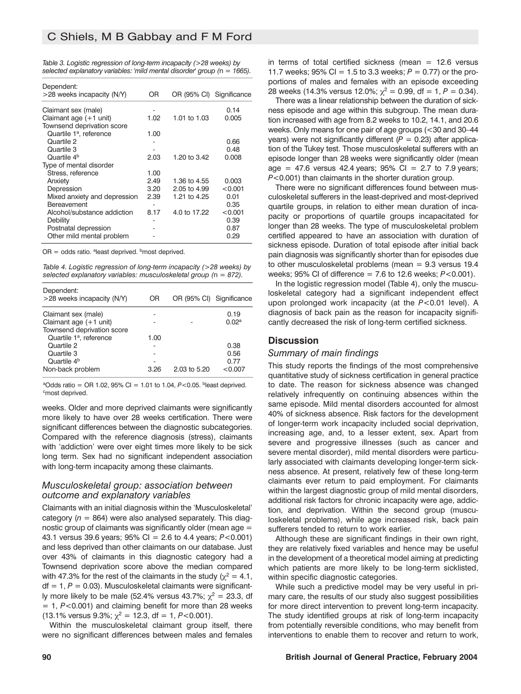| Table 3. Logistic regression of long-term incapacity (>28 weeks) by      |  |  |
|--------------------------------------------------------------------------|--|--|
| selected explanatory variables: 'mild mental disorder' group (n = 1665). |  |  |

| OR   | OR (95% CI) Significance |         |
|------|--------------------------|---------|
|      |                          | 0.14    |
| 1.02 | 1.01 to 1.03             | 0.005   |
|      |                          |         |
| 1.00 |                          |         |
|      |                          | 0.66    |
|      |                          | 0.48    |
| 2.03 | 1.20 to 3.42             | 0.008   |
|      |                          |         |
| 1.00 |                          |         |
| 2.49 | 1.36 to 4.55             | 0.003   |
| 3.20 | 2.05 to 4.99             | < 0.001 |
| 2.39 | 1.21 to 4.25             | 0.01    |
|      |                          | 0.35    |
| 8.17 | 4.0 to 17.22             | < 0.001 |
|      |                          | 0.39    |
|      |                          | 0.87    |
|      |                          | 0.29    |
|      |                          |         |

 $OR = odds$  ratio. <sup>a</sup>least deprived. <sup>b</sup>most deprived.

*Table 4. Logistic regression of long-term incapacity (>28 weeks) by selected explanatory variables: musculoskeletal group (*n *= 872).*

| Dependent:<br>>28 weeks incapacity (N/Y) | OR   | OR (95% CI) Significance |                   |
|------------------------------------------|------|--------------------------|-------------------|
| Claimant sex (male)                      |      |                          | 0.19              |
| Claimant age $(+1$ unit)                 |      |                          | 0.02 <sup>a</sup> |
| Townsend deprivation score               |      |                          |                   |
| Quartile 1 <sup>a</sup> , reference      | 1.00 |                          |                   |
| Quartile 2                               |      |                          | 0.38              |
| Quartile 3                               |      |                          | 0.56              |
| Quartile 4 <sup>b</sup>                  |      |                          | 0.77              |
| Non-back problem                         | 3.26 | 2.03 to 5.20             | < 0.007           |

<sup>a</sup>Odds ratio = OR 1.02, 95% CI = 1.01 to 1.04,  $P < 0.05$ . bleast deprived. <sup>c</sup>most deprived.

weeks. Older and more deprived claimants were significantly more likely to have over 28 weeks certification. There were significant differences between the diagnostic subcategories. Compared with the reference diagnosis (stress), claimants with 'addiction' were over eight times more likely to be sick long term. Sex had no significant independent association with long-term incapacity among these claimants.

#### *Musculoskeletal group: association between outcome and explanatory variables*

Claimants with an initial diagnosis within the 'Musculoskeletal' category  $(n = 864)$  were also analysed separately. This diagnostic group of claimants was significantly older (mean age = 43.1 versus 39.6 years; 95% CI = 2.6 to 4.4 years; *P*<0.001) and less deprived than other claimants on our database. Just over 43% of claimants in this diagnostic category had a Townsend deprivation score above the median compared with 47.3% for the rest of the claimants in the study ( $\chi^2 = 4.1$ , df = 1, *P* = 0.03). Musculoskeletal claimants were significantly more likely to be male (52.4% versus 43.7%;  $\chi^2 = 23.3$ , df = 1, *P*<0.001) and claiming benefit for more than 28 weeks (13.1% versus 9.3%;  $\chi^2$  = 12.3, df = 1, *P*<0.001).

Within the musculoskeletal claimant group itself, there were no significant differences between males and females in terms of total certified sickness (mean  $= 12.6$  versus 11.7 weeks:  $95\%$  CI = 1.5 to 3.3 weeks:  $P = 0.77$  or the proportions of males and females with an episode exceeding 28 weeks (14.3% versus 12.0%;  $\chi^2 = 0.99$ , df = 1, P = 0.34).

There was a linear relationship between the duration of sickness episode and age within this subgroup. The mean duration increased with age from 8.2 weeks to 10.2, 14.1, and 20.6 weeks. Only means for one pair of age groups (<30 and 30–44 years) were not significantly different  $(P = 0.23)$  after application of the Tukey test. Those musculoskeletal sufferers with an episode longer than 28 weeks were significantly older (mean age = 47.6 versus 42.4 years;  $95\%$  CI = 2.7 to 7.9 years; *P*<0.001) than claimants in the shorter duration group.

There were no significant differences found between musculoskeletal sufferers in the least-deprived and most-deprived quartile groups, in relation to either mean duration of incapacity or proportions of quartile groups incapacitated for longer than 28 weeks. The type of musculoskeletal problem certified appeared to have an association with duration of sickness episode. Duration of total episode after initial back pain diagnosis was significantly shorter than for episodes due to other musculoskeletal problems (mean = 9.3 versus 19.4 weeks; 95% CI of difference = 7.6 to 12.6 weeks; *P*<0.001).

In the logistic regression model (Table 4), only the musculoskeletal category had a significant independent effect upon prolonged work incapacity (at the *P*<0.01 level). A diagnosis of back pain as the reason for incapacity significantly decreased the risk of long-term certified sickness.

### **Discussion**

#### *Summary of main findings*

This study reports the findings of the most comprehensive quantitative study of sickness certification in general practice to date. The reason for sickness absence was changed relatively infrequently on continuing absences within the same episode. Mild mental disorders accounted for almost 40% of sickness absence. Risk factors for the development of longer-term work incapacity included social deprivation, increasing age, and, to a lesser extent, sex. Apart from severe and progressive illnesses (such as cancer and severe mental disorder), mild mental disorders were particularly associated with claimants developing longer-term sickness absence. At present, relatively few of these long-term claimants ever return to paid employment. For claimants within the largest diagnostic group of mild mental disorders, additional risk factors for chronic incapacity were age, addiction, and deprivation. Within the second group (musculoskeletal problems), while age increased risk, back pain sufferers tended to return to work earlier.

Although these are significant findings in their own right, they are relatively fixed variables and hence may be useful in the development of a theoretical model aiming at predicting which patients are more likely to be long-term sicklisted, within specific diagnostic categories.

While such a predictive model may be very useful in primary care, the results of our study also suggest possibilities for more direct intervention to prevent long-term incapacity. The study identified groups at risk of long-term incapacity from potentially reversible conditions, who may benefit from interventions to enable them to recover and return to work,